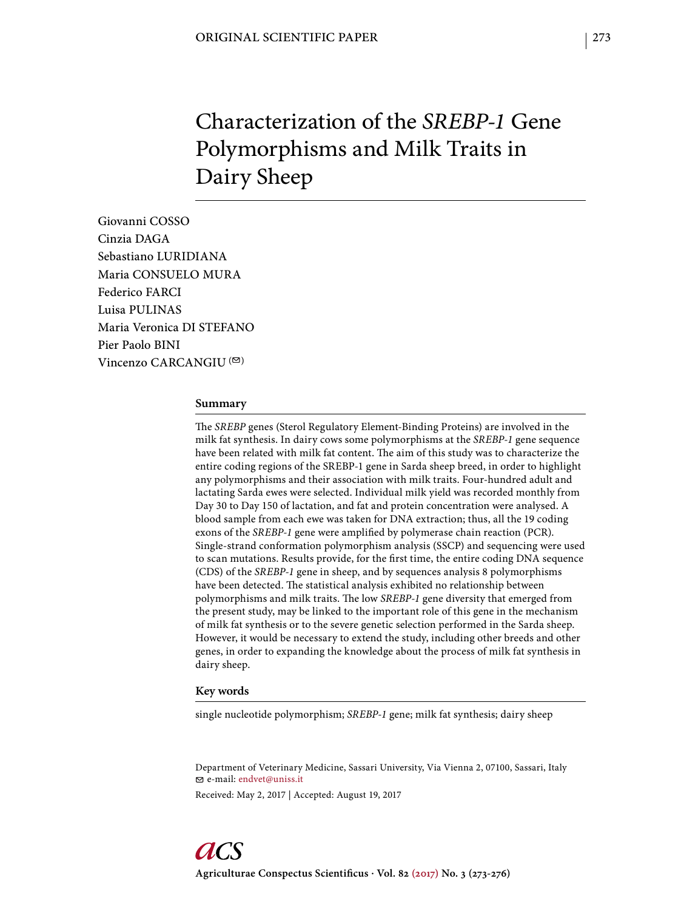# Characterization of the *SREBP-1* Gene Polymorphisms and Milk Traits in Dairy Sheep

Giovanni COSSO Cinzia DAGA Sebastiano LURIDIANA Maria CONSUELO MURA Federico FARCI Luisa PULINAS Maria Veronica DI STEFANO Pier Paolo BINI Vincenzo CARCANGIU  $($ <sup> $\odot$ </sup>)

#### **Summary**

The *SREBP* genes (Sterol Regulatory Element-Binding Proteins) are involved in the milk fat synthesis. In dairy cows some polymorphisms at the *SREBP-1* gene sequence have been related with milk fat content. The aim of this study was to characterize the entire coding regions of the SREBP-1 gene in Sarda sheep breed, in order to highlight any polymorphisms and their association with milk traits. Four-hundred adult and lactating Sarda ewes were selected. Individual milk yield was recorded monthly from Day 30 to Day 150 of lactation, and fat and protein concentration were analysed. A blood sample from each ewe was taken for DNA extraction; thus, all the 19 coding exons of the *SREBP-1* gene were amplified by polymerase chain reaction (PCR). Single-strand conformation polymorphism analysis (SSCP) and sequencing were used to scan mutations. Results provide, for the first time, the entire coding DNA sequence (CDS) of the *SREBP-1* gene in sheep, and by sequences analysis 8 polymorphisms have been detected. The statistical analysis exhibited no relationship between polymorphisms and milk traits. The low SREBP-1 gene diversity that emerged from the present study, may be linked to the important role of this gene in the mechanism of milk fat synthesis or to the severe genetic selection performed in the Sarda sheep. However, it would be necessary to extend the study, including other breeds and other genes, in order to expanding the knowledge about the process of milk fat synthesis in dairy sheep.

#### **Key words**

single nucleotide polymorphism; *SREBP-1* gene; milk fat synthesis; dairy sheep

Department of Veterinary Medicine, Sassari University, Via Vienna 2, 07100, Sassari, Italy e-mail: endvet@uniss.it Received: May 2, 2017 | Accepted: August 19, 2017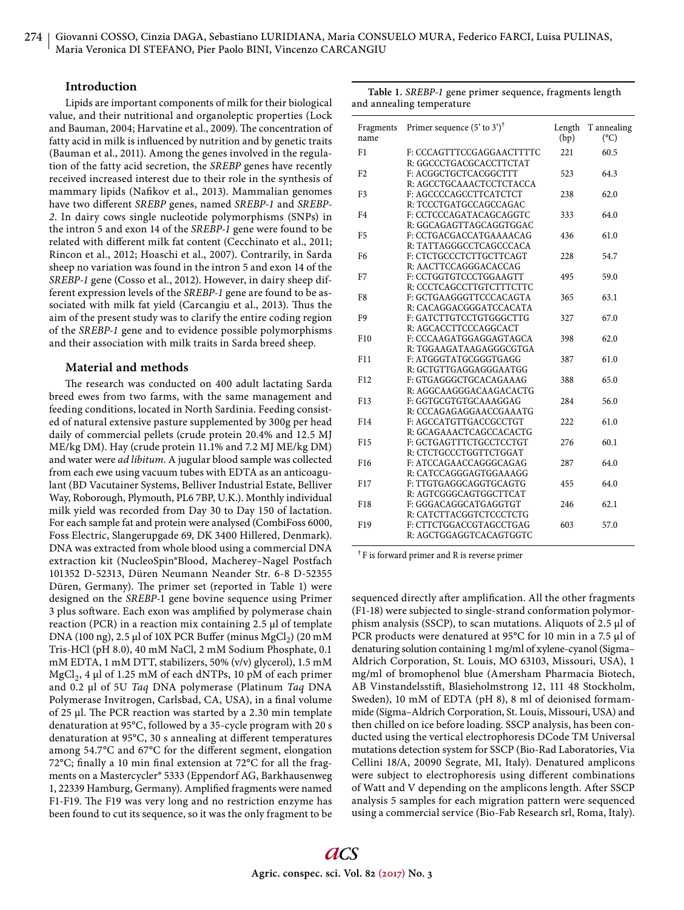## **Introduction**

Lipids are important components of milk for their biological value, and their nutritional and organoleptic properties (Lock and Bauman, 2004; Harvatine et al., 2009). The concentration of fatty acid in milk is influenced by nutrition and by genetic traits (Bauman et al., 2011). Among the genes involved in the regulation of the fatty acid secretion, the *SREBP* genes have recently received increased interest due to their role in the synthesis of mammary lipids (Nafikov et al., 2013). Mammalian genomes have two different *SREBP* genes, named *SREBP-1* and *SREBP-2*. In dairy cows single nucleotide polymorphisms (SNPs) in the intron 5 and exon 14 of the *SREBP-1* gene were found to be related with different milk fat content (Cecchinato et al., 2011; Rincon et al., 2012; Hoaschi et al., 2007). Contrarily, in Sarda sheep no variation was found in the intron 5 and exon 14 of the *SREBP-1* gene (Cosso et al., 2012). However, in dairy sheep different expression levels of the *SREBP-1* gene are found to be associated with milk fat yield (Carcangiu et al., 2013). Thus the aim of the present study was to clarify the entire coding region of the *SREBP-1* gene and to evidence possible polymorphisms and their association with milk traits in Sarda breed sheep.

## **Material and methods**

The research was conducted on 400 adult lactating Sarda breed ewes from two farms, with the same management and feeding conditions, located in North Sardinia. Feeding consisted of natural extensive pasture supplemented by 300g per head daily of commercial pellets (crude protein 20.4% and 12.5 MJ ME/kg DM). Hay (crude protein 11.1% and 7.2 MJ ME/kg DM) and water were *ad libitum*. A jugular blood sample was collected from each ewe using vacuum tubes with EDTA as an anticoagulant (BD Vacutainer Systems, Belliver Industrial Estate, Belliver Way, Roborough, Plymouth, PL6 7BP, U.K.). Monthly individual milk yield was recorded from Day 30 to Day 150 of lactation. For each sample fat and protein were analysed (CombiFoss 6000, Foss Electric, Slangerupgade 69, DK 3400 Hillered, Denmark). DNA was extracted from whole blood using a commercial DNA extraction kit (NucleoSpin®Blood, Macherey–Nagel Postfach 101352 D-52313, Düren Neumann Neander Str. 6-8 D-52355 Düren, Germany). The primer set (reported in Table 1) were designed on the *SREBP-*1 gene bovine sequence using Primer 3 plus software. Each exon was amplified by polymerase chain reaction (PCR) in a reaction mix containing 2.5 μl of template DNA (100 ng), 2.5 μl of 10X PCR Buffer (minus  $MgCl<sub>2</sub>$ ) (20 mM Tris-HCl (pH 8.0), 40 mM NaCl, 2 mM Sodium Phosphate, 0.1 mM EDTA, 1 mM DTT, stabilizers, 50% (v/v) glycerol), 1.5 mM  $MgCl<sub>2</sub>$ , 4 µl of 1.25 mM of each dNTPs, 10 pM of each primer and 0.2 μl of 5U *Taq* DNA polymerase (Platinum *Taq* DNA Polymerase Invitrogen, Carlsbad, CA, USA), in a final volume of 25 μl. The PCR reaction was started by a 2.30 min template denaturation at 95°C, followed by a 35-cycle program with 20 s denaturation at 95°C, 30 s annealing at different temperatures among 54.7°C and 67°C for the different segment, elongation 72°C; finally a 10 min final extension at 72°C for all the fragments on a Mastercycler® 5333 (Eppendorf AG, Barkhausenweg 1, 22339 Hamburg, Germany). Amplified fragments were named F1-F19. The F19 was very long and no restriction enzyme has been found to cut its sequence, so it was the only fragment to be

| Table 1. SREBP-1 gene primer sequence, fragments length |  |  |
|---------------------------------------------------------|--|--|
| and annealing temperature                               |  |  |

| Fragments<br>name | Primer sequence $(5'$ to $3')^{\dagger}$                                      | Length<br>(bp) | T annealing<br>$(^{\circ}C)$ |
|-------------------|-------------------------------------------------------------------------------|----------------|------------------------------|
| F <sub>1</sub>    | F: CCCAGTTTCCGAGGAACTTTTC<br>R: GGCCCTGACGCACCTTCTAT                          | 221            | 60.5                         |
| F <sub>2</sub>    | F: ACGGCTGCTCACGGCTTT<br>R: AGCCTGCAAACTCCTCTACCA                             | 523            | 64.3                         |
| F3                | F: AGCCCCAGCCTTCATCTCT                                                        | 238            | 62.0                         |
| F <sub>4</sub>    | R: TCCCTGATGCCAGCCAGAC<br>F: CCTCCCAGATACAGCAGGTC                             | 333            | 64.0                         |
| F <sub>5</sub>    | R: GGCAGAGTTAGCAGGTGGAC<br>F: CCTGACGACCATGAAAACAG                            | 436            | 61.0                         |
| F <sub>6</sub>    | R: TATTAGGGCCTCAGCCCACA<br>F: CTCTGCCCTCTTGCTTCAGT                            | 228            | 54.7                         |
| F7                | R: AACTTCCAGGGACACCAG<br>F: CCTGGTGTCCCTGGAAGTT                               | 495            | 59.0                         |
| F8                | R: CCCTCAGCCTTGTCTTTCTTC<br>F: GCTGAAGGGTTCCCACAGTA                           | 365            | 63.1                         |
| F9                | R: CACAGGACGGGATCCACATA<br>F: GATCTTGTCCTGTGGGCTTG                            | 327            | 67.0                         |
| F10               | R: AGCACCTTCCCAGGCACT<br>F: CCCAAGATGGAGGAGTAGCA                              | 398            | 62.0                         |
|                   | R: TGGAAGATAAGAGGGCGTGA                                                       |                |                              |
| F11               | F: ATGGGTATGCGGGTGAGG<br>R: GCTGTTGAGGAGGGAATGG                               | 387            | 61.0                         |
| F <sub>12</sub>   | F: GTGAGGGCTGCACAGAAAG<br>R: AGGCAAGGGACAAGACACTG                             | 388            | 65.0                         |
| F13               | F: GGTGCGTGTGCAAAGGAG<br>R: CCCAGAGAGGAACCGAAATG                              | 284            | 56.0                         |
| F14               | F: AGCCATGTTGACCGCCTGT<br>R: GCAGAAACTCAGCCACACTG                             | 222            | 61.0                         |
| F15               | F: GCTGAGTTTCTGCCTCCTGT<br>R: CTCTGCCCTGGTTCTGGAT                             | 276            | 60.1                         |
| F16               | F: ATCCAGAACCAGGGCAGAG                                                        | 287            | 64.0                         |
| F17               | R: CATCCAGGGAGTGGAAAGG<br>F: TTGTGAGGCAGGTGCAGTG                              | 455            | 64.0                         |
| F18               | R: AGTCGGGCAGTGGCTTCAT<br>F: GGGACAGGCATGAGGTGT                               | 246            | 62.1                         |
| F19               | R: CATCTTACGGTCTCCCTCTG<br>F: CTTCTGGACCGTAGCCTGAG<br>R: AGCTGGAGGTCACAGTGGTC | 603            | 57.0                         |
|                   |                                                                               |                |                              |

† F is forward primer and R is reverse primer

sequenced directly after amplification. All the other fragments (F1-18) were subjected to single-strand conformation polymorphism analysis (SSCP), to scan mutations. Aliquots of 2.5 μl of PCR products were denatured at 95°C for 10 min in a 7.5 μl of denaturing solution containing 1 mg/ml of xylene-cyanol (Sigma– Aldrich Corporation, St. Louis, MO 63103, Missouri, USA), 1 mg/ml of bromophenol blue (Amersham Pharmacia Biotech, AB Vinstandelsstift, Blasieholmstrong 12, 111 48 Stockholm, Sweden), 10 mM of EDTA (pH 8), 8 ml of deionised formammide (Sigma–Aldrich Corporation, St. Louis, Missouri, USA) and then chilled on ice before loading. SSCP analysis, has been conducted using the vertical electrophoresis DCode TM Universal mutations detection system for SSCP (Bio-Rad Laboratories, Via Cellini 18/A, 20090 Segrate, MI, Italy). Denatured amplicons were subject to electrophoresis using different combinations of Watt and V depending on the amplicons length. After SSCP analysis 5 samples for each migration pattern were sequenced using a commercial service (Bio-Fab Research srl, Roma, Italy).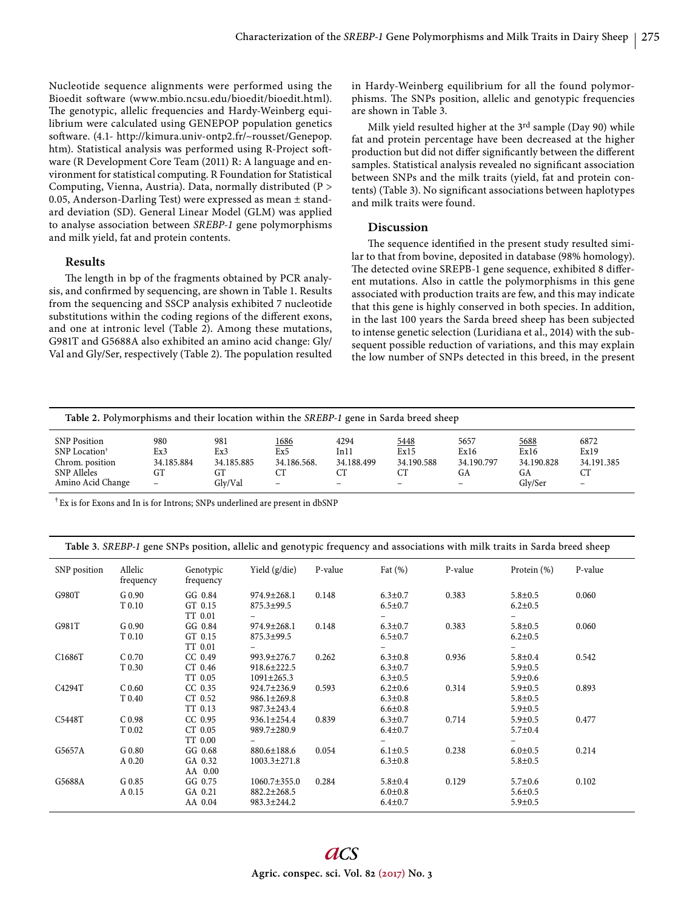Nucleotide sequence alignments were performed using the Bioedit soft ware (www.mbio.ncsu.edu/bioedit/bioedit.html). The genotypic, allelic frequencies and Hardy-Weinberg equilibrium were calculated using GENEPOP population genetics soft ware. (4.1- http://kimura.univ-ontp2.fr/~rousset/Genepop. htm). Statistical analysis was performed using R-Project software (R Development Core Team (2011) R: A language and environment for statistical computing. R Foundation for Statistical Computing, Vienna, Austria). Data, normally distributed (P > 0.05, Anderson-Darling Test) were expressed as mean ± standard deviation (SD). General Linear Model (GLM) was applied to analyse association between *SREBP-1* gene polymorphisms and milk yield, fat and protein contents.

### **Results**

The length in bp of the fragments obtained by PCR analysis, and confirmed by sequencing, are shown in Table 1. Results from the sequencing and SSCP analysis exhibited 7 nucleotide substitutions within the coding regions of the different exons, and one at intronic level (Table 2). Among these mutations, G981T and G5688A also exhibited an amino acid change: Gly/ Val and Gly/Ser, respectively (Table 2). The population resulted in Hardy-Weinberg equilibrium for all the found polymorphisms. The SNPs position, allelic and genotypic frequencies are shown in Table 3.

Milk yield resulted higher at the 3rd sample (Day 90) while fat and protein percentage have been decreased at the higher production but did not differ significantly between the different samples. Statistical analysis revealed no significant association between SNPs and the milk traits (yield, fat and protein contents) (Table 3). No significant associations between haplotypes and milk traits were found.

# **Discussion**

The sequence identified in the present study resulted similar to that from bovine, deposited in database (98% homology). The detected ovine SREPB-1 gene sequence, exhibited 8 different mutations. Also in cattle the polymorphisms in this gene associated with production traits are few, and this may indicate that this gene is highly conserved in both species. In addition, in the last 100 years the Sarda breed sheep has been subjected to intense genetic selection (Luridiana et al., 2014) with the subsequent possible reduction of variations, and this may explain the low number of SNPs detected in this breed, in the present

| Table 2. Polymorphisms and their location within the SREBP-1 gene in Sarda breed sheep                  |                                                            |                                           |                                 |                                                               |                                                                     |                                                              |                                             |                                                       |
|---------------------------------------------------------------------------------------------------------|------------------------------------------------------------|-------------------------------------------|---------------------------------|---------------------------------------------------------------|---------------------------------------------------------------------|--------------------------------------------------------------|---------------------------------------------|-------------------------------------------------------|
| SNP Position<br>SNP Location <sup>†</sup><br>Chrom. position<br><b>SNP</b> Alleles<br>Amino Acid Change | 980<br>Ex3<br>34.185.884<br>GT<br>$\overline{\phantom{m}}$ | 981<br>Ex3<br>34.185.885<br>GT<br>Glv/Val | 1686<br>Ex5<br>34.186.568.<br>- | 4294<br>In 11<br>34.188.499<br>CТ<br>$\overline{\phantom{a}}$ | <u>5448</u><br>Ex15<br>34.190.588<br>CТ<br>$\overline{\phantom{0}}$ | 5657<br>Ex16<br>34.190.797<br>GA<br>$\overline{\phantom{0}}$ | 5688<br>Ex16<br>34.190.828<br>GA<br>Glv/Ser | 6872<br>Ex19<br>34.191.385<br>СT<br>$\qquad \qquad -$ |

†Ex is for Exons and In is for Introns; SNPs underlined are present in dbSNP

|  | Table 3. SREBP-1 gene SNPs position, allelic and genotypic frequency and associations with milk traits in Sarda breed sheep |
|--|-----------------------------------------------------------------------------------------------------------------------------|
|  |                                                                                                                             |

| SNP position        | Allelic<br>frequency        | Genotypic<br>frequency            | Yield $(g/die)$                                        | P-value | Fat $(\%)$                                      | P-value | Protein (%)                                     | P-value |
|---------------------|-----------------------------|-----------------------------------|--------------------------------------------------------|---------|-------------------------------------------------|---------|-------------------------------------------------|---------|
| G980T               | G 0.90<br>T <sub>0.10</sub> | GG 0.84<br>GT 0.15<br>TT 0.01     | 974.9±268.1<br>$875.3 \pm 99.5$                        | 0.148   | $6.3 \pm 0.7$<br>$6.5 \pm 0.7$                  | 0.383   | $5.8 \pm 0.5$<br>$6.2 \pm 0.5$                  | 0.060   |
| G981T               | G 0.90<br>T 0.10            | GG 0.84<br>GT 0.15<br>TT 0.01     | $974.9 \pm 268.1$<br>$875.3 \pm 99.5$                  | 0.148   | $6.3 \pm 0.7$<br>$6.5 \pm 0.7$                  | 0.383   | $5.8 \pm 0.5$<br>$6.2 \pm 0.5$                  | 0.060   |
| C <sub>1686</sub> T | C <sub>0.70</sub><br>T 0.30 | $CC$ 0.49<br>$CT$ 0.46<br>TT 0.05 | 993.9±276.7<br>918.6±222.5<br>$1091 \pm 265.3$         | 0.262   | $6.3 \pm 0.8$<br>$6.3 \pm 0.7$<br>$6.3 \pm 0.5$ | 0.936   | $5.8 \pm 0.4$<br>$5.9 \pm 0.5$<br>$5.9 \pm 0.6$ | 0.542   |
| C4294T              | C <sub>0.60</sub><br>T 0.40 | $CC$ 0.35<br>CT 0.52<br>TT 0.13   | 924.7±236.9<br>$986.1 \pm 269.8$<br>987.3±243.4        | 0.593   | $6.2 \pm 0.6$<br>$6.3 \pm 0.8$<br>$6.6 \pm 0.8$ | 0.314   | $5.9 \pm 0.5$<br>$5.8 \pm 0.5$<br>$5.9 \pm 0.5$ | 0.893   |
| C5448T              | C <sub>0.98</sub><br>T 0.02 | $CC$ 0.95<br>CT 0.05<br>TT 0.00   | $936.1 \pm 254.4$<br>989.7±280.9                       | 0.839   | $6.3 \pm 0.7$<br>$6.4 \pm 0.7$                  | 0.714   | $5.9 \pm 0.5$<br>$5.7 \pm 0.4$                  | 0.477   |
| G5657A              | G 0.80<br>A 0.20            | GG 0.68<br>GA 0.32<br>AA 0.00     | $880.6 \pm 188.6$<br>$1003.3 \pm 271.8$                | 0.054   | $6.1 \pm 0.5$<br>$6.3 \pm 0.8$                  | 0.238   | $6.0 \pm 0.5$<br>$5.8 \pm 0.5$                  | 0.214   |
| G5688A              | G 0.85<br>A 0.15            | GG 0.75<br>GA 0.21<br>AA 0.04     | $1060.7 \pm 355.0$<br>$882.2 \pm 268.5$<br>983.3±244.2 | 0.284   | $5.8 \pm 0.4$<br>$6.0 \pm 0.8$<br>$6.4 \pm 0.7$ | 0.129   | $5.7 \pm 0.6$<br>$5.6 \pm 0.5$<br>$5.9 \pm 0.5$ | 0.102   |
|                     |                             |                                   |                                                        |         |                                                 |         |                                                 |         |